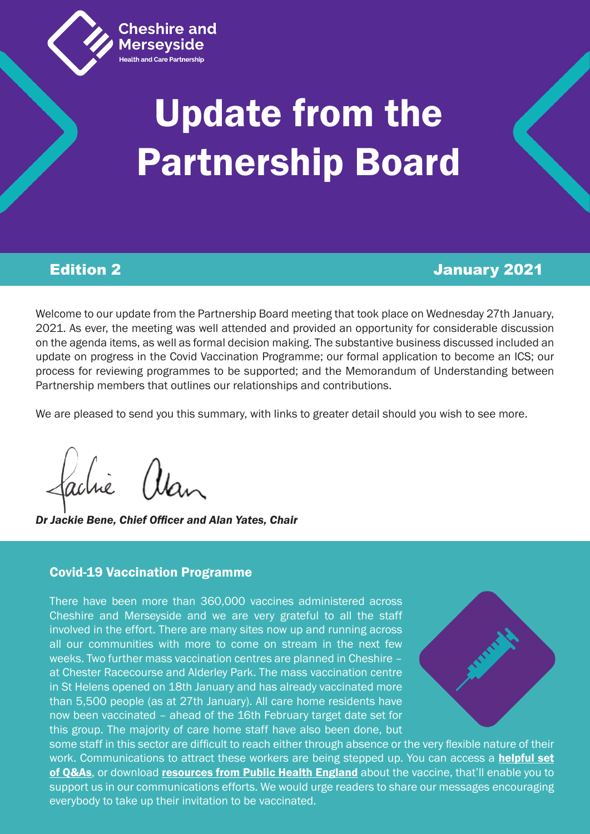

ealth and Care Partnership

# Update from the Partnership Board

# Edition 2 January 2021

Welcome to our update from the Partnership Board meeting that took place on Wednesday 27th January, 2021. As ever, the meeting was well attended and provided an opportunity for considerable discussion on the agenda items, as well as formal decision making. The substantive business discussed included an update on progress in the Covid Vaccination Programme; our formal application to become an ICS; our process for reviewing programmes to be supported; and the Memorandum of Understanding between Partnership members that outlines our relationships and contributions.

We are pleased to send you this summary, with links to greater detail should you wish to see more.

*Dr Jackie Bene, Chief Officer and Alan Yates, Chair* 

## Covid-19 Vaccination Programme

There have been more than 360,000 vaccines administered across Cheshire and Merseyside and we are very grateful to all the staff involved in the effort. There are many sites now up and running across all our communities with more to come on stream in the next few weeks. Two further mass vaccination centres are planned in Cheshire – at Chester Racecourse and Alderley Park. The mass vaccination centre in St Helens opened on 18th January and has already vaccinated more than 5,500 people (as at 27th January). All care home residents have now been vaccinated – ahead of the 16th February target date set for this group. The majority of care home staff have also been done, but



some staff in this sector are difficult to reach either through absence or the very flexible nature of their work. Communications to attract these workers are being stepped up. You can access a **[helpful set](https://www.cheshireandmerseysidepartnership.co.uk/covid-19-vaccination-faqs/)** [of Q&As](https://www.cheshireandmerseysidepartnership.co.uk/covid-19-vaccination-faqs/), or download [resources from Public Health England](https://www.cheshireandmerseysidepartnership.co.uk/wp-content/uploads/2021/01/Social-media-visuals-to-build-confidence-in-the-vaccine.zip) about the vaccine, that'll enable you to support us in our communications efforts. We would urge readers to share our messages encouraging everybody to take up their invitation to be vaccinated.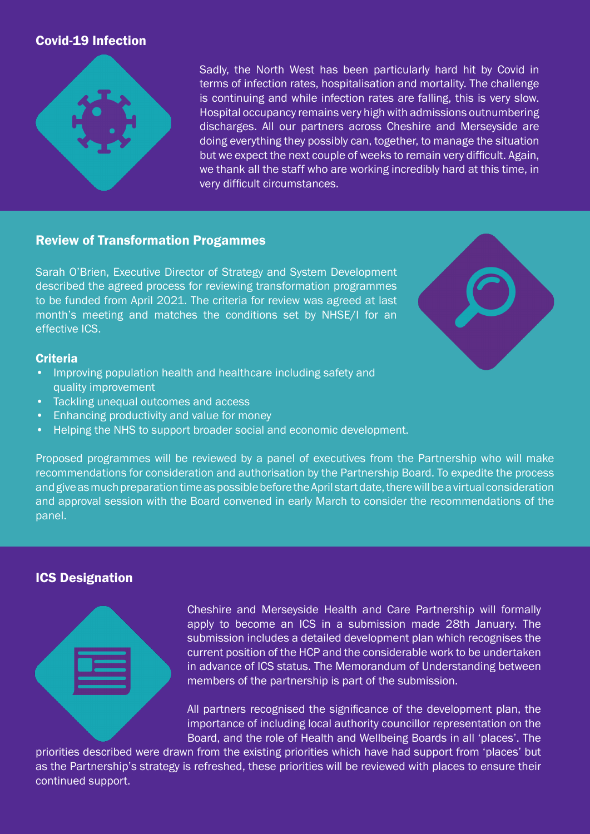# Covid-19 Infection



Sadly, the North West has been particularly hard hit by Covid in terms of infection rates, hospitalisation and mortality. The challenge is continuing and while infection rates are falling, this is very slow. Hospital occupancy remains very high with admissions outnumbering discharges. All our partners across Cheshire and Merseyside are doing everything they possibly can, together, to manage the situation but we expect the next couple of weeks to remain very difficult. Again, we thank all the staff who are working incredibly hard at this time, in very difficult circumstances.

#### Review of Transformation Progammes

Sarah O'Brien, Executive Director of Strategy and System Development described the agreed process for reviewing transformation programmes to be funded from April 2021. The criteria for review was agreed at last month's meeting and matches the conditions set by NHSE/I for an effective ICS.



#### **Criteria**

- Improving population health and healthcare including safety and quality improvement
- Tackling unequal outcomes and access
- Enhancing productivity and value for money
- Helping the NHS to support broader social and economic development.

Proposed programmes will be reviewed by a panel of executives from the Partnership who will make recommendations for consideration and authorisation by the Partnership Board. To expedite the process and give as much preparation time as possible before the April start date, there will be a virtual consideration and approval session with the Board convened in early March to consider the recommendations of the panel.

## ICS Designation



Cheshire and Merseyside Health and Care Partnership will formally apply to become an ICS in a submission made 28th January. The submission includes a detailed development plan which recognises the current position of the HCP and the considerable work to be undertaken in advance of ICS status. The Memorandum of Understanding between members of the partnership is part of the submission.

All partners recognised the significance of the development plan, the importance of including local authority councillor representation on the Board, and the role of Health and Wellbeing Boards in all 'places'. The

priorities described were drawn from the existing priorities which have had support from 'places' but as the Partnership's strategy is refreshed, these priorities will be reviewed with places to ensure their continued support.